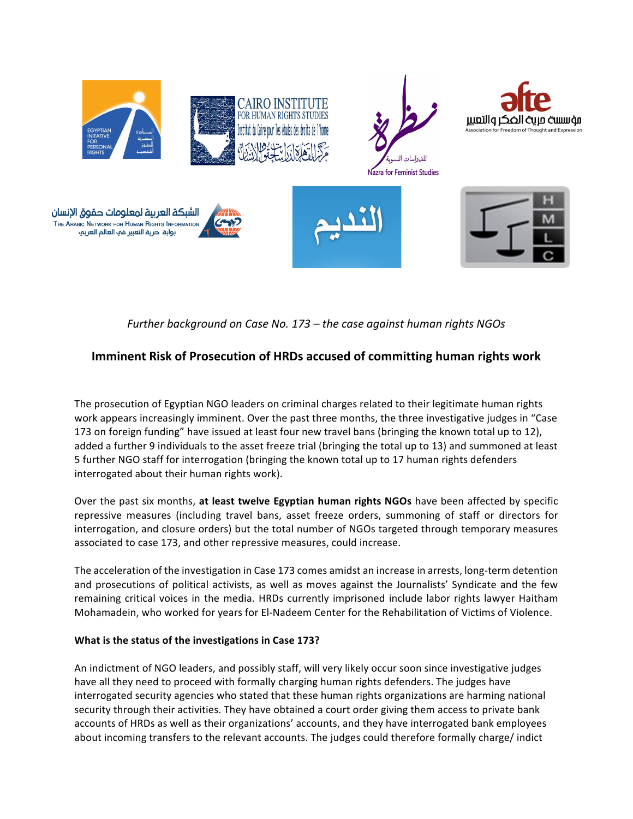

*Further background on Case No.* 173 – *the case against human rights NGOs* 

# **Imminent Risk of Prosecution of HRDs accused of committing human rights work**

The prosecution of Egyptian NGO leaders on criminal charges related to their legitimate human rights work appears increasingly imminent. Over the past three months, the three investigative judges in "Case 173 on foreign funding" have issued at least four new travel bans (bringing the known total up to 12), added a further 9 individuals to the asset freeze trial (bringing the total up to 13) and summoned at least 5 further NGO staff for interrogation (bringing the known total up to 17 human rights defenders interrogated about their human rights work).

Over the past six months, at least twelve Egyptian human rights NGOs have been affected by specific repressive measures (including travel bans, asset freeze orders, summoning of staff or directors for interrogation, and closure orders) but the total number of NGOs targeted through temporary measures associated to case 173, and other repressive measures, could increase.

The acceleration of the investigation in Case 173 comes amidst an increase in arrests, long-term detention and prosecutions of political activists, as well as moves against the Journalists' Syndicate and the few remaining critical voices in the media. HRDs currently imprisoned include labor rights lawyer Haitham Mohamadein, who worked for years for El-Nadeem Center for the Rehabilitation of Victims of Violence.

## **What is the status of the investigations in Case 173?**

An indictment of NGO leaders, and possibly staff, will very likely occur soon since investigative judges have all they need to proceed with formally charging human rights defenders. The judges have interrogated security agencies who stated that these human rights organizations are harming national security through their activities. They have obtained a court order giving them access to private bank accounts of HRDs as well as their organizations' accounts, and they have interrogated bank employees about incoming transfers to the relevant accounts. The judges could therefore formally charge/ indict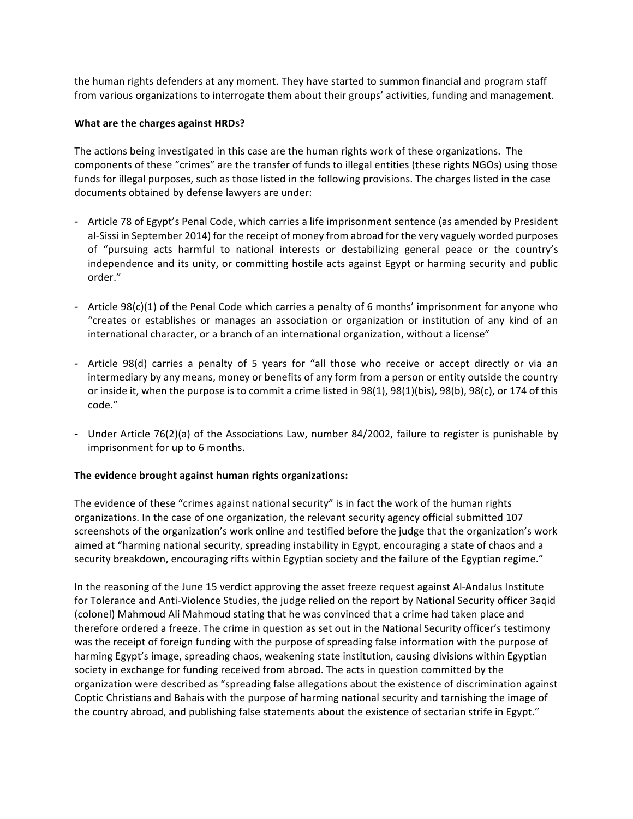the human rights defenders at any moment. They have started to summon financial and program staff from various organizations to interrogate them about their groups' activities, funding and management.

#### **What are the charges against HRDs?**

The actions being investigated in this case are the human rights work of these organizations. The components of these "crimes" are the transfer of funds to illegal entities (these rights NGOs) using those funds for illegal purposes, such as those listed in the following provisions. The charges listed in the case documents obtained by defense lawyers are under:

- Article 78 of Egypt's Penal Code, which carries a life imprisonment sentence (as amended by President al-Sissi in September 2014) for the receipt of money from abroad for the very vaguely worded purposes of "pursuing acts harmful to national interests or destabilizing general peace or the country's independence and its unity, or committing hostile acts against Egypt or harming security and public order."
- Article 98(c)(1) of the Penal Code which carries a penalty of 6 months' imprisonment for anyone who "creates or establishes or manages an association or organization or institution of any kind of an international character, or a branch of an international organization, without a license"
- Article 98(d) carries a penalty of 5 years for "all those who receive or accept directly or via an intermediary by any means, money or benefits of any form from a person or entity outside the country or inside it, when the purpose is to commit a crime listed in 98(1), 98(1)(bis), 98(b), 98(c), or 174 of this code."
- Under Article 76(2)(a) of the Associations Law, number 84/2002, failure to register is punishable by imprisonment for up to 6 months.

## The evidence brought against human rights organizations:

The evidence of these "crimes against national security" is in fact the work of the human rights organizations. In the case of one organization, the relevant security agency official submitted 107 screenshots of the organization's work online and testified before the judge that the organization's work aimed at "harming national security, spreading instability in Egypt, encouraging a state of chaos and a security breakdown, encouraging rifts within Egyptian society and the failure of the Egyptian regime."

In the reasoning of the June 15 verdict approving the asset freeze request against Al-Andalus Institute for Tolerance and Anti-Violence Studies, the judge relied on the report by National Security officer 3aqid (colonel) Mahmoud Ali Mahmoud stating that he was convinced that a crime had taken place and therefore ordered a freeze. The crime in question as set out in the National Security officer's testimony was the receipt of foreign funding with the purpose of spreading false information with the purpose of harming Egypt's image, spreading chaos, weakening state institution, causing divisions within Egyptian society in exchange for funding received from abroad. The acts in question committed by the organization were described as "spreading false allegations about the existence of discrimination against Coptic Christians and Bahais with the purpose of harming national security and tarnishing the image of the country abroad, and publishing false statements about the existence of sectarian strife in Egypt."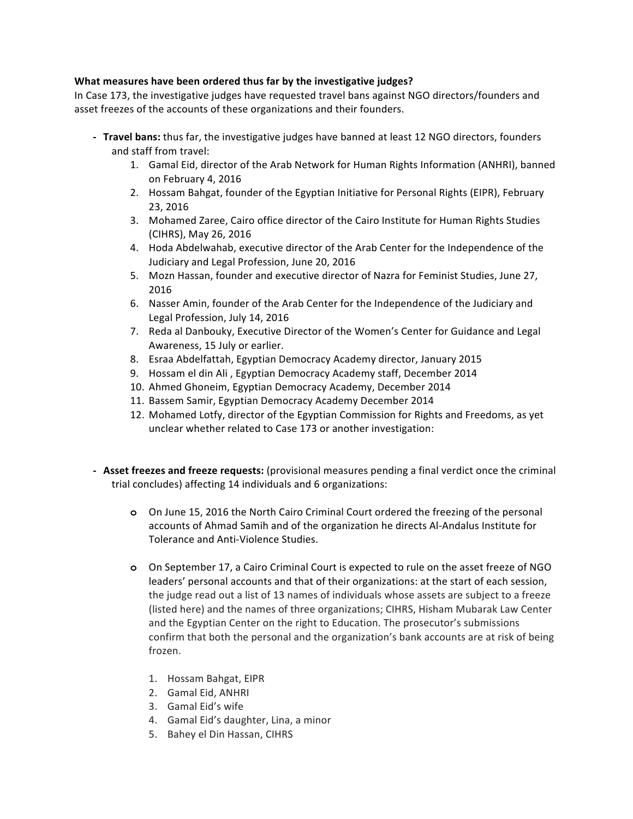#### **What measures have been ordered thus far by the investigative judges?**

In Case 173, the investigative judges have requested travel bans against NGO directors/founders and asset freezes of the accounts of these organizations and their founders.

- **Travel bans:** thus far, the investigative judges have banned at least 12 NGO directors, founders and staff from travel:
	- 1. Gamal Eid, director of the Arab Network for Human Rights Information (ANHRI), banned on February 4, 2016
	- 2. Hossam Bahgat, founder of the Egyptian Initiative for Personal Rights (EIPR), February 23, 2016
	- 3. Mohamed Zaree, Cairo office director of the Cairo Institute for Human Rights Studies (CIHRS), May 26, 2016
	- 4. Hoda Abdelwahab, executive director of the Arab Center for the Independence of the Judiciary and Legal Profession, June 20, 2016
	- 5. Mozn Hassan, founder and executive director of Nazra for Feminist Studies, June 27, 2016
	- 6. Nasser Amin, founder of the Arab Center for the Independence of the Judiciary and Legal Profession, July 14, 2016
	- 7. Reda al Danbouky, Executive Director of the Women's Center for Guidance and Legal Awareness, 15 July or earlier.
	- 8. Esraa Abdelfattah, Egyptian Democracy Academy director, January 2015
	- 9. Hossam el din Ali, Egyptian Democracy Academy staff, December 2014
	- 10. Ahmed Ghoneim, Egyptian Democracy Academy, December 2014
	- 11. Bassem Samir, Egyptian Democracy Academy December 2014
	- 12. Mohamed Lotfy, director of the Egyptian Commission for Rights and Freedoms, as yet unclear whether related to Case 173 or another investigation:
- **Asset freezes and freeze requests:** (provisional measures pending a final verdict once the criminal trial concludes) affecting 14 individuals and 6 organizations:
	- **o** On June 15, 2016 the North Cairo Criminal Court ordered the freezing of the personal accounts of Ahmad Samih and of the organization he directs Al-Andalus Institute for Tolerance and Anti-Violence Studies.
	- **o** On September 17, a Cairo Criminal Court is expected to rule on the asset freeze of NGO leaders' personal accounts and that of their organizations: at the start of each session, the judge read out a list of 13 names of individuals whose assets are subject to a freeze (listed here) and the names of three organizations; CIHRS, Hisham Mubarak Law Center and the Egyptian Center on the right to Education. The prosecutor's submissions confirm that both the personal and the organization's bank accounts are at risk of being frozen.
		- 1. Hossam Bahgat, EIPR
		- 2. Gamal Eid, ANHRI
		- 3. Gamal Eid's wife
		- 4. Gamal Eid's daughter, Lina, a minor
		- 5. Bahey el Din Hassan, CIHRS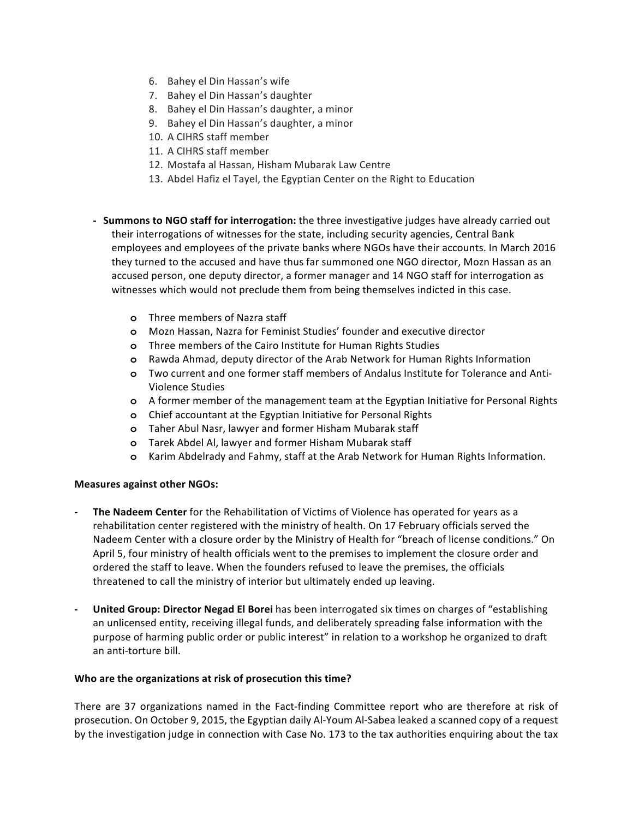- 6. Bahey el Din Hassan's wife
- 7. Bahey el Din Hassan's daughter
- 8. Bahey el Din Hassan's daughter, a minor
- 9. Bahey el Din Hassan's daughter, a minor
- 10. A CIHRS staff member
- 11. A CIHRS staff member
- 12. Mostafa al Hassan, Hisham Mubarak Law Centre
- 13. Abdel Hafiz el Tayel, the Egyptian Center on the Right to Education
- **Summons to NGO staff for interrogation:** the three investigative judges have already carried out their interrogations of witnesses for the state, including security agencies, Central Bank employees and employees of the private banks where NGOs have their accounts. In March 2016 they turned to the accused and have thus far summoned one NGO director, Mozn Hassan as an accused person, one deputy director, a former manager and 14 NGO staff for interrogation as witnesses which would not preclude them from being themselves indicted in this case.
	- **o** Three members of Nazra staff
	- **o** Mozn Hassan, Nazra for Feminist Studies' founder and executive director
	- **o** Three members of the Cairo Institute for Human Rights Studies
	- **o** Rawda Ahmad, deputy director of the Arab Network for Human Rights Information
	- **o** Two current and one former staff members of Andalus Institute for Tolerance and Anti-Violence Studies
	- **o** A former member of the management team at the Egyptian Initiative for Personal Rights
	- **o** Chief accountant at the Egyptian Initiative for Personal Rights
	- **o** Taher Abul Nasr, lawyer and former Hisham Mubarak staff
	- **o** Tarek Abdel Al, lawyer and former Hisham Mubarak staff
	- **o** Karim Abdelrady and Fahmy, staff at the Arab Network for Human Rights Information.

## **Measures against other NGOs:**

- The Nadeem Center for the Rehabilitation of Victims of Violence has operated for years as a rehabilitation center registered with the ministry of health. On 17 February officials served the Nadeem Center with a closure order by the Ministry of Health for "breach of license conditions." On April 5, four ministry of health officials went to the premises to implement the closure order and ordered the staff to leave. When the founders refused to leave the premises, the officials threatened to call the ministry of interior but ultimately ended up leaving.
- **United Group: Director Negad El Borei** has been interrogated six times on charges of "establishing an unlicensed entity, receiving illegal funds, and deliberately spreading false information with the purpose of harming public order or public interest" in relation to a workshop he organized to draft an anti-torture bill.

## Who are the organizations at risk of prosecution this time?

There are 37 organizations named in the Fact-finding Committee report who are therefore at risk of prosecution. On October 9, 2015, the Egyptian daily Al-Youm Al-Sabea leaked a scanned copy of a request by the investigation judge in connection with Case No. 173 to the tax authorities enquiring about the tax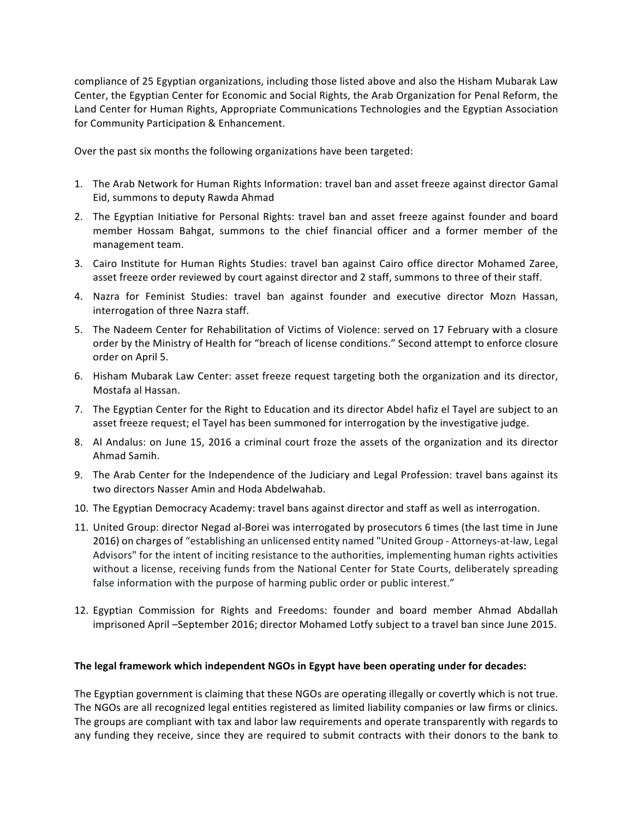compliance of 25 Egyptian organizations, including those listed above and also the Hisham Mubarak Law Center, the Egyptian Center for Economic and Social Rights, the Arab Organization for Penal Reform, the Land Center for Human Rights, Appropriate Communications Technologies and the Egyptian Association for Community Participation & Enhancement.

Over the past six months the following organizations have been targeted:

- 1. The Arab Network for Human Rights Information: travel ban and asset freeze against director Gamal Eid, summons to deputy Rawda Ahmad
- 2. The Egyptian Initiative for Personal Rights: travel ban and asset freeze against founder and board member Hossam Bahgat, summons to the chief financial officer and a former member of the management team.
- 3. Cairo Institute for Human Rights Studies: travel ban against Cairo office director Mohamed Zaree, asset freeze order reviewed by court against director and 2 staff, summons to three of their staff.
- 4. Nazra for Feminist Studies: travel ban against founder and executive director Mozn Hassan, interrogation of three Nazra staff.
- 5. The Nadeem Center for Rehabilitation of Victims of Violence: served on 17 February with a closure order by the Ministry of Health for "breach of license conditions." Second attempt to enforce closure order on April 5.
- 6. Hisham Mubarak Law Center: asset freeze request targeting both the organization and its director, Mostafa al Hassan.
- 7. The Egyptian Center for the Right to Education and its director Abdel hafiz el Tayel are subject to an asset freeze request; el Tayel has been summoned for interrogation by the investigative judge.
- 8. Al Andalus: on June 15, 2016 a criminal court froze the assets of the organization and its director Ahmad Samih.
- 9. The Arab Center for the Independence of the Judiciary and Legal Profession: travel bans against its two directors Nasser Amin and Hoda Abdelwahab.
- 10. The Egyptian Democracy Academy: travel bans against director and staff as well as interrogation.
- 11. United Group: director Negad al-Borei was interrogated by prosecutors 6 times (the last time in June 2016) on charges of "establishing an unlicensed entity named "United Group - Attorneys-at-law, Legal Advisors" for the intent of inciting resistance to the authorities, implementing human rights activities without a license, receiving funds from the National Center for State Courts, deliberately spreading false information with the purpose of harming public order or public interest."
- 12. Egyptian Commission for Rights and Freedoms: founder and board member Ahmad Abdallah imprisoned April -September 2016; director Mohamed Lotfy subject to a travel ban since June 2015.

#### The legal framework which independent NGOs in Egypt have been operating under for decades:

The Egyptian government is claiming that these NGOs are operating illegally or covertly which is not true. The NGOs are all recognized legal entities registered as limited liability companies or law firms or clinics. The groups are compliant with tax and labor law requirements and operate transparently with regards to any funding they receive, since they are required to submit contracts with their donors to the bank to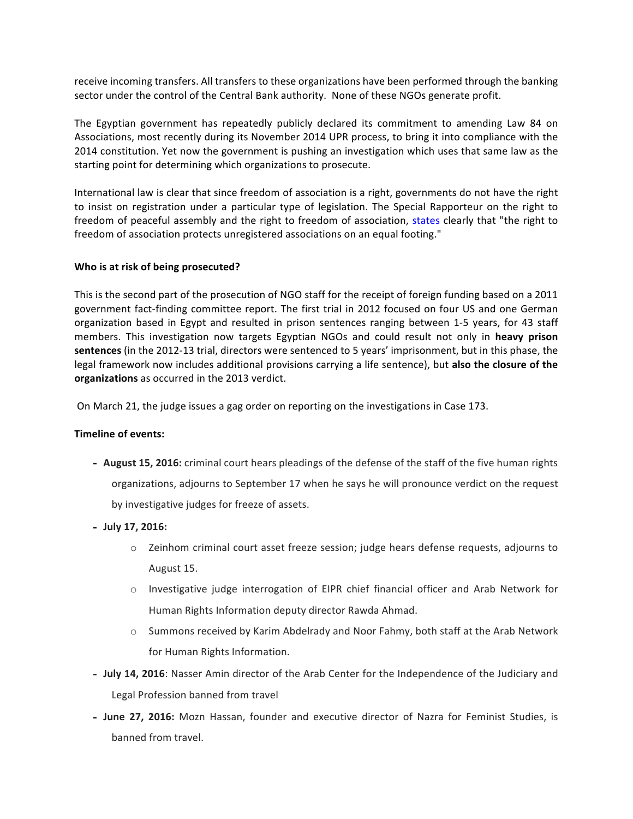receive incoming transfers. All transfers to these organizations have been performed through the banking sector under the control of the Central Bank authority. None of these NGOs generate profit.

The Egyptian government has repeatedly publicly declared its commitment to amending Law 84 on Associations, most recently during its November 2014 UPR process, to bring it into compliance with the 2014 constitution. Yet now the government is pushing an investigation which uses that same law as the starting point for determining which organizations to prosecute.

International law is clear that since freedom of association is a right, governments do not have the right to insist on registration under a particular type of legislation. The Special Rapporteur on the right to freedom of peaceful assembly and the right to freedom of association, states clearly that "the right to freedom of association protects unregistered associations on an equal footing."

## **Who is at risk of being prosecuted?**

This is the second part of the prosecution of NGO staff for the receipt of foreign funding based on a 2011 government fact-finding committee report. The first trial in 2012 focused on four US and one German organization based in Egypt and resulted in prison sentences ranging between 1-5 years, for 43 staff members. This investigation now targets Egyptian NGOs and could result not only in heavy prison **sentences** (in the 2012-13 trial, directors were sentenced to 5 years' imprisonment, but in this phase, the legal framework now includes additional provisions carrying a life sentence), but also the closure of the organizations as occurred in the 2013 verdict.

On March 21, the judge issues a gag order on reporting on the investigations in Case 173.

#### **Timeline of events:**

- **August 15, 2016:** criminal court hears pleadings of the defense of the staff of the five human rights organizations, adjourns to September 17 when he says he will pronounce verdict on the request by investigative judges for freeze of assets.
- **July 17, 2016:** 
	- $\circ$  Zeinhom criminal court asset freeze session; judge hears defense requests, adjourns to August 15.
	- $\circ$  Investigative judge interrogation of EIPR chief financial officer and Arab Network for Human Rights Information deputy director Rawda Ahmad.
	- $\circ$  Summons received by Karim Abdelrady and Noor Fahmy, both staff at the Arab Network for Human Rights Information.
- **July 14, 2016**: Nasser Amin director of the Arab Center for the Independence of the Judiciary and Legal Profession banned from travel
- June 27, 2016: Mozn Hassan, founder and executive director of Nazra for Feminist Studies, is banned from travel.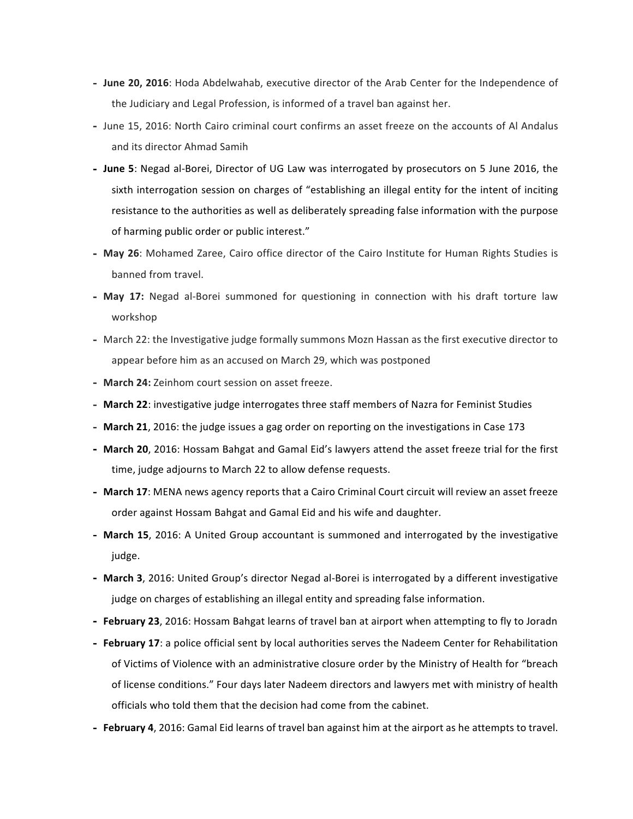- June 20, 2016: Hoda Abdelwahab, executive director of the Arab Center for the Independence of the Judiciary and Legal Profession, is informed of a travel ban against her.
- June 15, 2016: North Cairo criminal court confirms an asset freeze on the accounts of Al Andalus and its director Ahmad Samih
- June 5: Negad al-Borei, Director of UG Law was interrogated by prosecutors on 5 June 2016, the sixth interrogation session on charges of "establishing an illegal entity for the intent of inciting resistance to the authorities as well as deliberately spreading false information with the purpose of harming public order or public interest."
- **May 26**: Mohamed Zaree, Cairo office director of the Cairo Institute for Human Rights Studies is banned from travel.
- May 17: Negad al-Borei summoned for questioning in connection with his draft torture law workshop
- March 22: the Investigative judge formally summons Mozn Hassan as the first executive director to appear before him as an accused on March 29, which was postponed
- March 24: Zeinhom court session on asset freeze.
- March 22: investigative judge interrogates three staff members of Nazra for Feminist Studies
- March 21, 2016: the judge issues a gag order on reporting on the investigations in Case 173
- March 20, 2016: Hossam Bahgat and Gamal Eid's lawyers attend the asset freeze trial for the first time, judge adjourns to March 22 to allow defense requests.
- March 17: MENA news agency reports that a Cairo Criminal Court circuit will review an asset freeze order against Hossam Bahgat and Gamal Eid and his wife and daughter.
- March 15, 2016: A United Group accountant is summoned and interrogated by the investigative judge.
- March 3, 2016: United Group's director Negad al-Borei is interrogated by a different investigative judge on charges of establishing an illegal entity and spreading false information.
- **February 23**, 2016: Hossam Bahgat learns of travel ban at airport when attempting to fly to Joradn
- February 17: a police official sent by local authorities serves the Nadeem Center for Rehabilitation of Victims of Violence with an administrative closure order by the Ministry of Health for "breach of license conditions." Four days later Nadeem directors and lawyers met with ministry of health officials who told them that the decision had come from the cabinet.
- **February 4**, 2016: Gamal Eid learns of travel ban against him at the airport as he attempts to travel.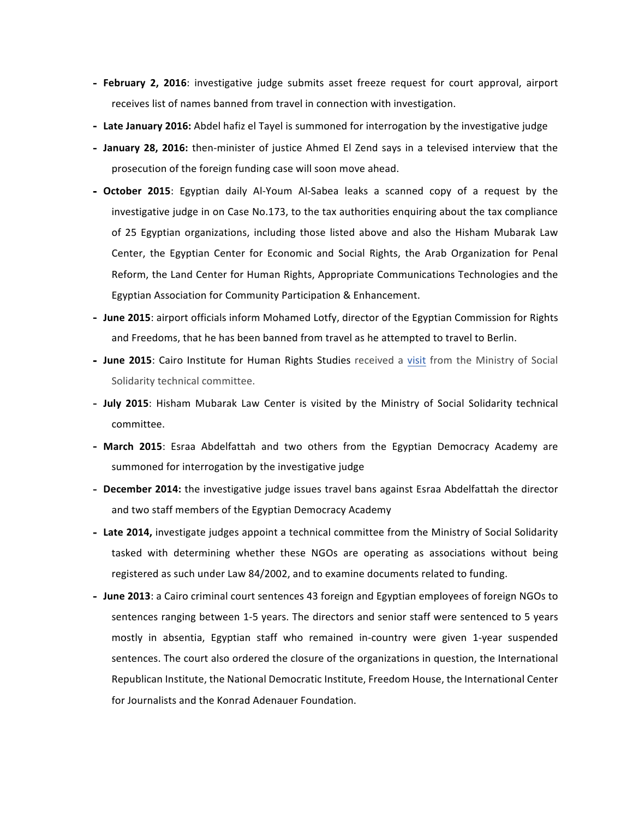- February 2, 2016: investigative judge submits asset freeze request for court approval, airport receives list of names banned from travel in connection with investigation.
- Late January 2016: Abdel hafiz el Tayel is summoned for interrogation by the investigative judge
- January 28, 2016: then-minister of justice Ahmed El Zend says in a televised interview that the prosecution of the foreign funding case will soon move ahead.
- **October 2015**: Egyptian daily Al-Youm Al-Sabea leaks a scanned copy of a request by the investigative judge in on Case No.173, to the tax authorities enquiring about the tax compliance of 25 Egyptian organizations, including those listed above and also the Hisham Mubarak Law Center, the Egyptian Center for Economic and Social Rights, the Arab Organization for Penal Reform, the Land Center for Human Rights, Appropriate Communications Technologies and the Egyptian Association for Community Participation & Enhancement.
- June 2015: airport officials inform Mohamed Lotfy, director of the Egyptian Commission for Rights and Freedoms, that he has been banned from travel as he attempted to travel to Berlin.
- June 2015: Cairo Institute for Human Rights Studies received a visit from the Ministry of Social Solidarity technical committee.
- **July 2015**: Hisham Mubarak Law Center is visited by the Ministry of Social Solidarity technical committee.
- March 2015: Esraa Abdelfattah and two others from the Egyptian Democracy Academy are summoned for interrogation by the investigative judge
- December 2014: the investigative judge issues travel bans against Esraa Abdelfattah the director and two staff members of the Egyptian Democracy Academy
- Late 2014, investigate judges appoint a technical committee from the Ministry of Social Solidarity tasked with determining whether these NGOs are operating as associations without being registered as such under Law 84/2002, and to examine documents related to funding.
- June 2013: a Cairo criminal court sentences 43 foreign and Egyptian employees of foreign NGOs to sentences ranging between 1-5 years. The directors and senior staff were sentenced to 5 years mostly in absentia, Egyptian staff who remained in-country were given 1-year suspended sentences. The court also ordered the closure of the organizations in question, the International Republican Institute, the National Democratic Institute, Freedom House, the International Center for Journalists and the Konrad Adenauer Foundation.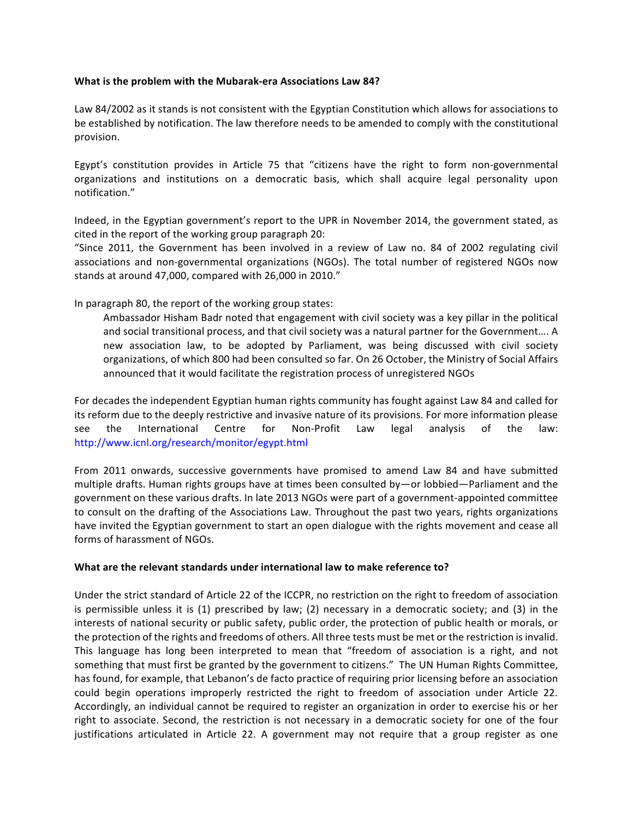#### **What is the problem with the Mubarak-era Associations Law 84?**

Law 84/2002 as it stands is not consistent with the Egyptian Constitution which allows for associations to be established by notification. The law therefore needs to be amended to comply with the constitutional provision. 

Egypt's constitution provides in Article 75 that "citizens have the right to form non-governmental organizations and institutions on a democratic basis, which shall acquire legal personality upon notification." 

Indeed, in the Egyptian government's report to the UPR in November 2014, the government stated, as  $cited$  in the report of the working group paragraph 20:

"Since 2011, the Government has been involved in a review of Law no. 84 of 2002 regulating civil associations and non-governmental organizations (NGOs). The total number of registered NGOs now stands at around 47,000, compared with 26,000 in 2010."

In paragraph 80, the report of the working group states:

Ambassador Hisham Badr noted that engagement with civil society was a key pillar in the political and social transitional process, and that civil society was a natural partner for the Government.... A new association law, to be adopted by Parliament, was being discussed with civil society organizations, of which 800 had been consulted so far. On 26 October, the Ministry of Social Affairs announced that it would facilitate the registration process of unregistered NGOs

For decades the independent Egyptian human rights community has fought against Law 84 and called for its reform due to the deeply restrictive and invasive nature of its provisions. For more information please see the International Centre for Non-Profit Law legal analysis of the law: http://www.icnl.org/research/monitor/egypt.html

From 2011 onwards, successive governments have promised to amend Law 84 and have submitted multiple drafts. Human rights groups have at times been consulted by—or lobbied—Parliament and the government on these various drafts. In late 2013 NGOs were part of a government-appointed committee to consult on the drafting of the Associations Law. Throughout the past two years, rights organizations have invited the Egyptian government to start an open dialogue with the rights movement and cease all forms of harassment of NGOs.

#### What are the relevant standards under international law to make reference to?

Under the strict standard of Article 22 of the ICCPR, no restriction on the right to freedom of association is permissible unless it is  $(1)$  prescribed by law;  $(2)$  necessary in a democratic society; and  $(3)$  in the interests of national security or public safety, public order, the protection of public health or morals, or the protection of the rights and freedoms of others. All three tests must be met or the restriction is invalid. This language has long been interpreted to mean that "freedom of association is a right, and not something that must first be granted by the government to citizens." The UN Human Rights Committee, has found, for example, that Lebanon's de facto practice of requiring prior licensing before an association could begin operations improperly restricted the right to freedom of association under Article 22. Accordingly, an individual cannot be required to register an organization in order to exercise his or her right to associate. Second, the restriction is not necessary in a democratic society for one of the four justifications articulated in Article 22. A government may not require that a group register as one